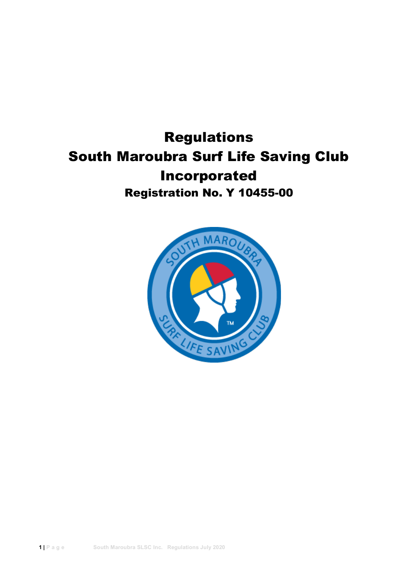# Regulations South Maroubra Surf Life Saving Club Incorporated Registration No. Y 10455-00

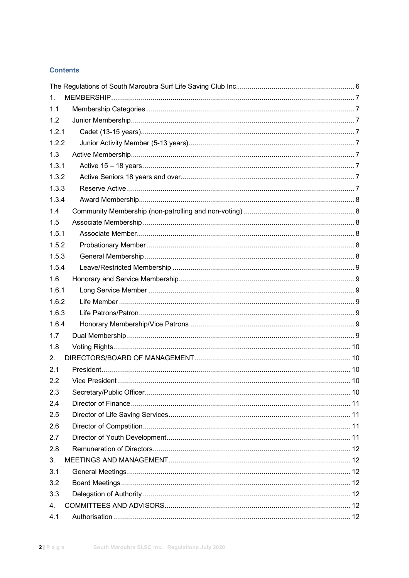## **Contents**

| 1.    |  |
|-------|--|
| 1.1   |  |
| 1.2   |  |
| 1.2.1 |  |
| 1.2.2 |  |
| 1.3   |  |
| 1.3.1 |  |
| 1.3.2 |  |
| 1.3.3 |  |
| 1.3.4 |  |
| 1.4   |  |
| 1.5   |  |
| 1.5.1 |  |
| 1.5.2 |  |
| 1.5.3 |  |
| 1.5.4 |  |
| 1.6   |  |
| 1.6.1 |  |
| 1.6.2 |  |
| 1.6.3 |  |
| 1.6.4 |  |
| 1.7   |  |
| 1.8   |  |
| 2.    |  |
| 2.1   |  |
| 2.2   |  |
| 2.3   |  |
| 2.4   |  |
| 2.5   |  |
| 2.6   |  |
| 2.7   |  |
| 2.8   |  |
| 3.    |  |
| 3.1   |  |
| 3.2   |  |
| 3.3   |  |
| 4.    |  |
| 4.1   |  |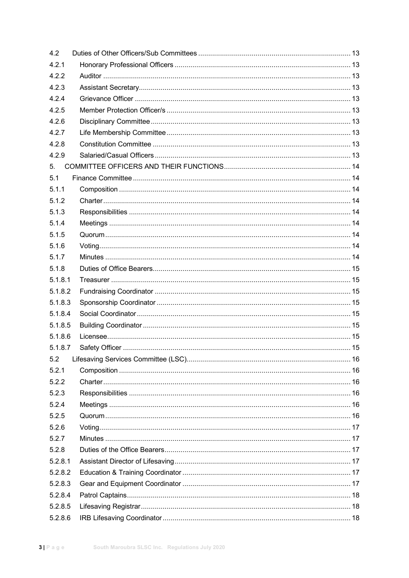| 4.2     |  |
|---------|--|
| 4.2.1   |  |
| 4.2.2   |  |
| 4.2.3   |  |
| 424     |  |
| 4.2.5   |  |
| 4.2.6   |  |
| 4.2.7   |  |
| 4.2.8   |  |
| 4.2.9   |  |
| 5.      |  |
| 5.1     |  |
| 5.1.1   |  |
| 5.1.2   |  |
| 5.1.3   |  |
| 5.1.4   |  |
| 5.1.5   |  |
| 5.1.6   |  |
| 5.1.7   |  |
| 5.1.8   |  |
| 5.1.8.1 |  |
| 5.1.8.2 |  |
| 5.1.8.3 |  |
| 5.1.8.4 |  |
| 5.1.8.5 |  |
| 5.1.8.6 |  |
| 5.1.8.7 |  |
| 5.2     |  |
| 5.2.1   |  |
| 5.2.2   |  |
| 5.2.3   |  |
| 5.2.4   |  |
| 5.2.5   |  |
| 5.2.6   |  |
| 5.2.7   |  |
| 5.2.8   |  |
| 5.2.8.1 |  |
| 5.2.8.2 |  |
| 5.2.8.3 |  |
| 5.2.8.4 |  |
| 5.2.8.5 |  |
| 5.2.8.6 |  |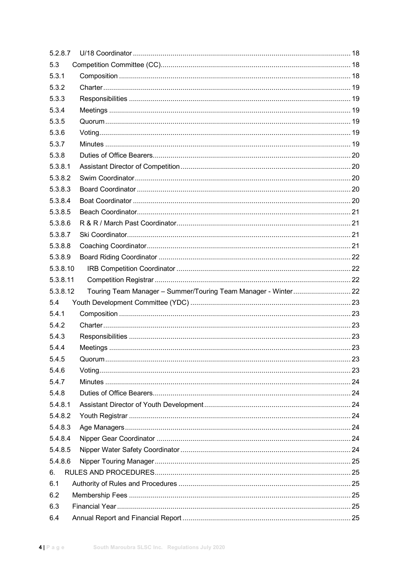| 5.2.8.7  |                                                                |  |
|----------|----------------------------------------------------------------|--|
| 5.3      |                                                                |  |
| 5.3.1    |                                                                |  |
| 5.3.2    |                                                                |  |
| 5.3.3    |                                                                |  |
| 5.3.4    |                                                                |  |
| 5.3.5    |                                                                |  |
| 5.3.6    |                                                                |  |
| 5.3.7    |                                                                |  |
| 5.3.8    |                                                                |  |
| 5.3.8.1  |                                                                |  |
| 5.3.8.2  |                                                                |  |
| 5.3.8.3  |                                                                |  |
| 5.3.8.4  |                                                                |  |
| 5.3.8.5  |                                                                |  |
| 5.3.8.6  |                                                                |  |
| 5.3.8.7  |                                                                |  |
| 5.3.8.8  |                                                                |  |
| 5.3.8.9  |                                                                |  |
| 5.3.8.10 |                                                                |  |
| 5.3.8.11 |                                                                |  |
|          |                                                                |  |
| 5.3.8.12 | Touring Team Manager - Summer/Touring Team Manager - Winter 22 |  |
| 5.4      |                                                                |  |
| 5.4.1    |                                                                |  |
| 5.4.2    |                                                                |  |
| 5.4.3    |                                                                |  |
| 5.4.4    |                                                                |  |
| 5.4.5    |                                                                |  |
| 5.4.6    |                                                                |  |
| 5.4.7    |                                                                |  |
| 5.4.8    |                                                                |  |
| 5.4.8.1  |                                                                |  |
| 5.4.8.2  |                                                                |  |
| 5.4.8.3  |                                                                |  |
| 5.4.8.4  |                                                                |  |
| 5.4.8.5  |                                                                |  |
| 5.4.8.6  |                                                                |  |
| 6.       |                                                                |  |
| 6.1      |                                                                |  |
| 6.2      |                                                                |  |
| 6.3      |                                                                |  |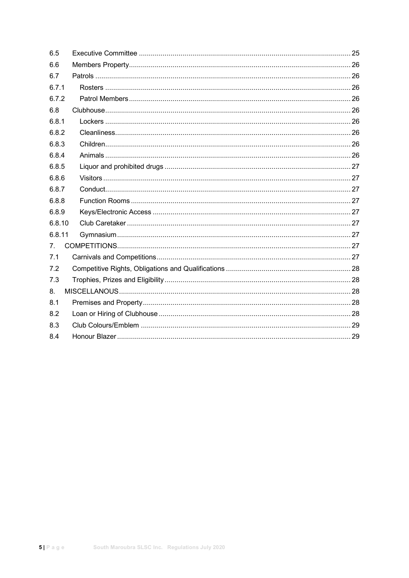| 6.5    |  |
|--------|--|
| 6.6    |  |
| 6.7    |  |
| 6.7.1  |  |
| 6.7.2  |  |
| 6.8    |  |
| 6.8.1  |  |
| 6.8.2  |  |
| 6.8.3  |  |
| 6.8.4  |  |
| 6.8.5  |  |
| 6.8.6  |  |
| 6.8.7  |  |
| 6.8.8  |  |
| 6.8.9  |  |
| 6.8.10 |  |
| 6.8.11 |  |
| 7.     |  |
| 7.1    |  |
| 7.2    |  |
| 7.3    |  |
| 8.     |  |
| 8.1    |  |
| 8.2    |  |
| 8.3    |  |
| 8.4    |  |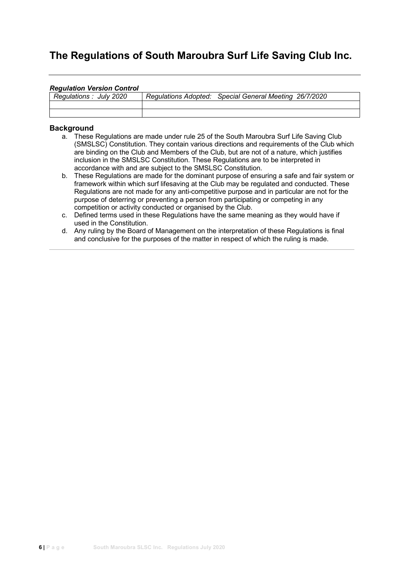# **The Regulations of South Maroubra Surf Life Saving Club Inc.**

#### *Regulation Version Control*

| Regulations: July 2020 | Regulations Adopted: Special General Meeting 26/7/2020 |  |
|------------------------|--------------------------------------------------------|--|
|                        |                                                        |  |
|                        |                                                        |  |

## **Background**

- a. These Regulations are made under rule 25 of the South Maroubra Surf Life Saving Club (SMSLSC) Constitution. They contain various directions and requirements of the Club which are binding on the Club and Members of the Club, but are not of a nature, which justifies inclusion in the SMSLSC Constitution. These Regulations are to be interpreted in accordance with and are subject to the SMSLSC Constitution.
- b. These Regulations are made for the dominant purpose of ensuring a safe and fair system or framework within which surf lifesaving at the Club may be regulated and conducted. These Regulations are not made for any anti-competitive purpose and in particular are not for the purpose of deterring or preventing a person from participating or competing in any competition or activity conducted or organised by the Club.
- c. Defined terms used in these Regulations have the same meaning as they would have if used in the Constitution.
- d. Any ruling by the Board of Management on the interpretation of these Regulations is final and conclusive for the purposes of the matter in respect of which the ruling is made.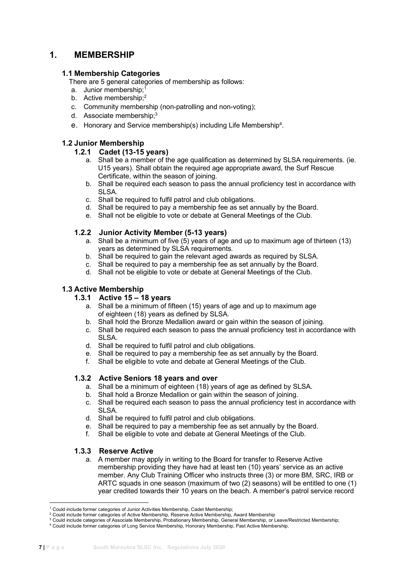# **1. MEMBERSHIP**

## **1.1 Membership Categories**

There are 5 general categories of membership as follows:

- a. Junior membership;<sup>1</sup>
- b. Active membership;<sup>2</sup>
- c. Community membership (non-patrolling and non-voting);
- d. Associate membership;<sup>3</sup>
- e. Honorary and Service membership(s) including Life Membership4.

## **1.2 Junior Membership**

## **1.2.1 Cadet (13-15 years)**

- a. Shall be a member of the age qualification as determined by SLSA requirements. (ie. U15 years). Shall obtain the required age appropriate award, the Surf Rescue Certificate, within the season of joining.
- b. Shall be required each season to pass the annual proficiency test in accordance with SLSA.
- c. Shall be required to fulfil patrol and club obligations.
- d. Shall be required to pay a membership fee as set annually by the Board.
- e. Shall not be eligible to vote or debate at General Meetings of the Club.

## **1.2.2 Junior Activity Member (5-13 years)**

- a. Shall be a minimum of five (5) years of age and up to maximum age of thirteen (13) years as determined by SLSA requirements.
- b. Shall be required to gain the relevant aged awards as required by SLSA.
- c. Shall be required to pay a membership fee as set annually by the Board.
- d. Shall not be eligible to vote or debate at General Meetings of the Club.

## **1.3 Active Membership**

## **1.3.1 Active 15 – 18 years**

- a. Shall be a minimum of fifteen (15) years of age and up to maximum age of eighteen (18) years as defined by SLSA.
- b. Shall hold the Bronze Medallion award or gain within the season of joining.
- c. Shall be required each season to pass the annual proficiency test in accordance with SLSA.
- d. Shall be required to fulfil patrol and club obligations.
- e. Shall be required to pay a membership fee as set annually by the Board.
- f. Shall be eligible to vote and debate at General Meetings of the Club.

## **1.3.2 Active Seniors 18 years and over**

- a. Shall be a minimum of eighteen (18) years of age as defined by SLSA.
- b. Shall hold a Bronze Medallion or gain within the season of joining.
- c. Shall be required each season to pass the annual proficiency test in accordance with SLSA.
- d. Shall be required to fulfil patrol and club obligations.
- e. Shall be required to pay a membership fee as set annually by the Board.
- f. Shall be eligible to vote and debate at General Meetings of the Club.

## **1.3.3 Reserve Active**

a. A member may apply in writing to the Board for transfer to Reserve Active membership providing they have had at least ten (10) years' service as an active member. Any Club Training Officer who instructs three (3) or more BM, SRC, IRB or ARTC squads in one season (maximum of two (2) seasons) will be entitled to one (1) year credited towards their 10 years on the beach. A member's patrol service record

 $\overline{a}$ <sup>1</sup> Could include former categories of Junior Activities Membership, Cadet Membership;

<sup>2</sup> Could include former categories of Active Membership, Reserve Active Membership, Award Membership

<sup>3</sup> Could include categories of Associate Membership, Probationary Membership, General Membership, or Leave/Restricted Membership;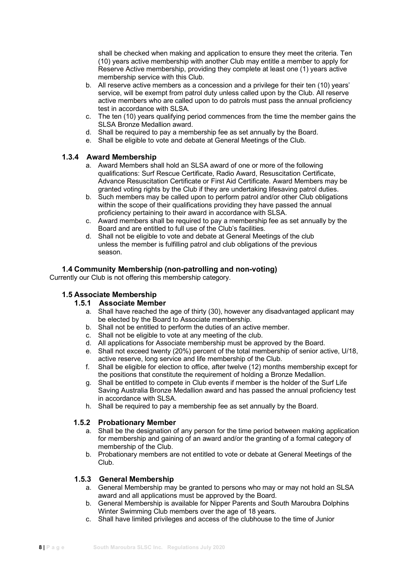shall be checked when making and application to ensure they meet the criteria. Ten (10) years active membership with another Club may entitle a member to apply for Reserve Active membership, providing they complete at least one (1) years active membership service with this Club.

- b. All reserve active members as a concession and a privilege for their ten (10) years' service, will be exempt from patrol duty unless called upon by the Club. All reserve active members who are called upon to do patrols must pass the annual proficiency test in accordance with SLSA.
- c. The ten (10) years qualifying period commences from the time the member gains the SLSA Bronze Medallion award.
- d. Shall be required to pay a membership fee as set annually by the Board.
- e. Shall be eligible to vote and debate at General Meetings of the Club.

#### **1.3.4 Award Membership**

- a. Award Members shall hold an SLSA award of one or more of the following qualifications: Surf Rescue Certificate, Radio Award, Resuscitation Certificate, Advance Resuscitation Certificate or First Aid Certificate. Award Members may be granted voting rights by the Club if they are undertaking lifesaving patrol duties.
- b. Such members may be called upon to perform patrol and/or other Club obligations within the scope of their qualifications providing they have passed the annual proficiency pertaining to their award in accordance with SLSA.
- c. Award members shall be required to pay a membership fee as set annually by the Board and are entitled to full use of the Club's facilities.
- d. Shall not be eligible to vote and debate at General Meetings of the club unless the member is fulfilling patrol and club obligations of the previous season.

## **1.4 Community Membership (non-patrolling and non-voting)**

Currently our Club is not offering this membership category.

## **1.5 Associate Membership**

#### **1.5.1 Associate Member**

- a. Shall have reached the age of thirty (30), however any disadvantaged applicant may be elected by the Board to Associate membership.
- b. Shall not be entitled to perform the duties of an active member.
- c. Shall not be eligible to vote at any meeting of the club.
- d. All applications for Associate membership must be approved by the Board.
- e. Shall not exceed twenty (20%) percent of the total membership of senior active, U/18, active reserve, long service and life membership of the Club.
- f. Shall be eligible for election to office, after twelve (12) months membership except for the positions that constitute the requirement of holding a Bronze Medallion.
- g. Shall be entitled to compete in Club events if member is the holder of the Surf Life Saving Australia Bronze Medallion award and has passed the annual proficiency test in accordance with SLSA.
- h. Shall be required to pay a membership fee as set annually by the Board.

#### **1.5.2 Probationary Member**

- a. Shall be the designation of any person for the time period between making application for membership and gaining of an award and/or the granting of a formal category of membership of the Club.
- b. Probationary members are not entitled to vote or debate at General Meetings of the Club.

#### **1.5.3 General Membership**

- a. General Membership may be granted to persons who may or may not hold an SLSA award and all applications must be approved by the Board.
- b. General Membership is available for Nipper Parents and South Maroubra Dolphins Winter Swimming Club members over the age of 18 years.
- c. Shall have limited privileges and access of the clubhouse to the time of Junior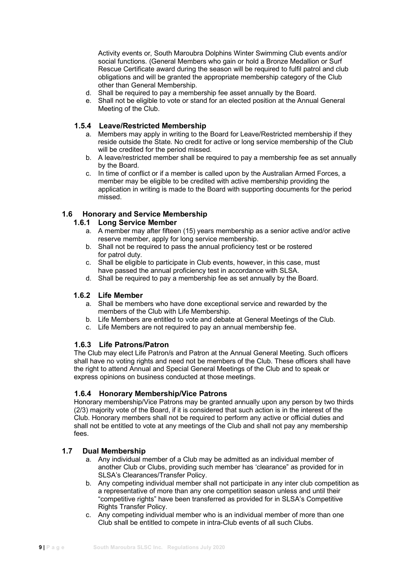Activity events or, South Maroubra Dolphins Winter Swimming Club events and/or social functions. (General Members who gain or hold a Bronze Medallion or Surf Rescue Certificate award during the season will be required to fulfil patrol and club obligations and will be granted the appropriate membership category of the Club other than General Membership.

- d. Shall be required to pay a membership fee asset annually by the Board.
- e. Shall not be eligible to vote or stand for an elected position at the Annual General Meeting of the Club.

## **1.5.4 Leave/Restricted Membership**

- a. Members may apply in writing to the Board for Leave/Restricted membership if they reside outside the State. No credit for active or long service membership of the Club will be credited for the period missed.
- b. A leave/restricted member shall be required to pay a membership fee as set annually by the Board.
- c. In time of conflict or if a member is called upon by the Australian Armed Forces, a member may be eligible to be credited with active membership providing the application in writing is made to the Board with supporting documents for the period missed.

## **1.6 Honorary and Service Membership**

#### **1.6.1 Long Service Member**

- a. A member may after fifteen (15) years membership as a senior active and/or active reserve member, apply for long service membership.
- b. Shall not be required to pass the annual proficiency test or be rostered for patrol duty.
- c. Shall be eligible to participate in Club events, however, in this case, must have passed the annual proficiency test in accordance with SLSA.
- d. Shall be required to pay a membership fee as set annually by the Board.

#### **1.6.2 Life Member**

- a. Shall be members who have done exceptional service and rewarded by the members of the Club with Life Membership.
- b. Life Members are entitled to vote and debate at General Meetings of the Club.
- c. Life Members are not required to pay an annual membership fee.

#### **1.6.3 Life Patrons/Patron**

The Club may elect Life Patron/s and Patron at the Annual General Meeting. Such officers shall have no voting rights and need not be members of the Club. These officers shall have the right to attend Annual and Special General Meetings of the Club and to speak or express opinions on business conducted at those meetings.

#### **1.6.4 Honorary Membership/Vice Patrons**

Honorary membership/Vice Patrons may be granted annually upon any person by two thirds (2/3) majority vote of the Board, if it is considered that such action is in the interest of the Club. Honorary members shall not be required to perform any active or official duties and shall not be entitled to vote at any meetings of the Club and shall not pay any membership fees.

#### **1.7 Dual Membership**

- a. Any individual member of a Club may be admitted as an individual member of another Club or Clubs, providing such member has 'clearance" as provided for in SLSA's Clearances/Transfer Policy.
- b. Any competing individual member shall not participate in any inter club competition as a representative of more than any one competition season unless and until their "competitive rights" have been transferred as provided for in SLSA's Competitive Rights Transfer Policy.
- c. Any competing individual member who is an individual member of more than one Club shall be entitled to compete in intra-Club events of all such Clubs.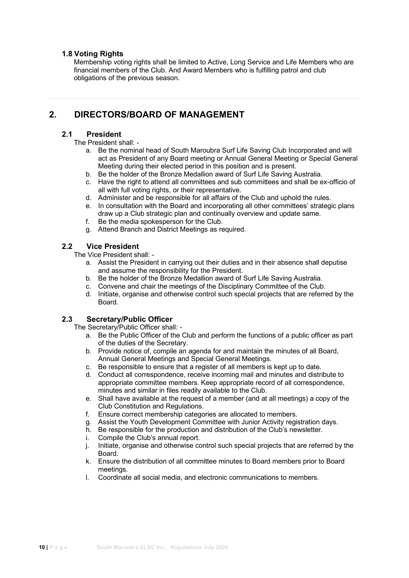## **1.8 Voting Rights**

Membership voting rights shall be limited to Active, Long Service and Life Members who are financial members of the Club. And Award Members who is fulfilling patrol and club obligations of the previous season.

# **2. DIRECTORS/BOARD OF MANAGEMENT**

## **2.1 President**

The President shall: -

- a. Be the nominal head of South Maroubra Surf Life Saving Club Incorporated and will act as President of any Board meeting or Annual General Meeting or Special General Meeting during their elected period in this position and is present.
- b. Be the holder of the Bronze Medallion award of Surf Life Saving Australia.
- c. Have the right to attend all committees and sub committees and shall be ex-officio of all with full voting rights, or their representative.
- d. Administer and be responsible for all affairs of the Club and uphold the rules.
- e. In consultation with the Board and incorporating all other committees' strategic plans draw up a Club strategic plan and continually overview and update same.
- f. Be the media spokesperson for the Club.
- g. Attend Branch and District Meetings as required.

## **2.2 Vice President**

The Vice President shall: -

- a. Assist the President in carrying out their duties and in their absence shall deputise and assume the responsibility for the President.
- b. Be the holder of the Bronze Medallion award of Surf Life Saving Australia.
- c. Convene and chair the meetings of the Disciplinary Committee of the Club.
- d. Initiate, organise and otherwise control such special projects that are referred by the Board.

## **2.3 Secretary/Public Officer**

The Secretary/Public Officer shall: -

- a. Be the Public Officer of the Club and perform the functions of a public officer as part of the duties of the Secretary.
- b. Provide notice of, compile an agenda for and maintain the minutes of all Board, Annual General Meetings and Special General Meetings.
- c. Be responsible to ensure that a register of all members is kept up to date.
- d. Conduct all correspondence, receive incoming mail and minutes and distribute to appropriate committee members. Keep appropriate record of all correspondence, minutes and similar in files readily available to the Club.
- e. Shall have available at the request of a member (and at all meetings) a copy of the Club Constitution and Regulations.
- f. Ensure correct membership categories are allocated to members.
- g. Assist the Youth Development Committee with Junior Activity registration days.
- h. Be responsible for the production and distribution of the Club's newsletter.
- i. Compile the Club's annual report.
- j. Initiate, organise and otherwise control such special projects that are referred by the Board.
- k. Ensure the distribution of all committee minutes to Board members prior to Board meetings.
- l. Coordinate all social media, and electronic communications to members.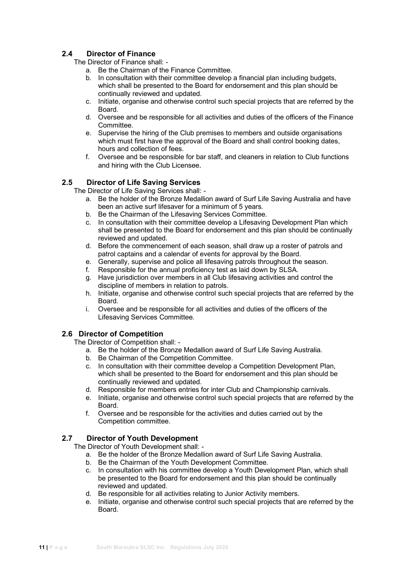## **2.4 Director of Finance**

The Director of Finance shall: -

- a. Be the Chairman of the Finance Committee.
- b. In consultation with their committee develop a financial plan including budgets, which shall be presented to the Board for endorsement and this plan should be continually reviewed and updated.
- c. Initiate, organise and otherwise control such special projects that are referred by the Board.
- d. Oversee and be responsible for all activities and duties of the officers of the Finance Committee.
- e. Supervise the hiring of the Club premises to members and outside organisations which must first have the approval of the Board and shall control booking dates, hours and collection of fees.
- f. Oversee and be responsible for bar staff, and cleaners in relation to Club functions and hiring with the Club Licensee.

## **2.5 Director of Life Saving Services**

The Director of Life Saving Services shall: -

- a. Be the holder of the Bronze Medallion award of Surf Life Saving Australia and have been an active surf lifesaver for a minimum of 5 years.
- b. Be the Chairman of the Lifesaving Services Committee.
- c. In consultation with their committee develop a Lifesaving Development Plan which shall be presented to the Board for endorsement and this plan should be continually reviewed and updated.
- d. Before the commencement of each season, shall draw up a roster of patrols and patrol captains and a calendar of events for approval by the Board.
- e. Generally, supervise and police all lifesaving patrols throughout the season.
- f. Responsible for the annual proficiency test as laid down by SLSA.
- g. Have jurisdiction over members in all Club lifesaving activities and control the discipline of members in relation to patrols.
- h. Initiate, organise and otherwise control such special projects that are referred by the Board.
- i. Oversee and be responsible for all activities and duties of the officers of the Lifesaving Services Committee.

#### **2.6 Director of Competition**

The Director of Competition shall: -

- a. Be the holder of the Bronze Medallion award of Surf Life Saving Australia.
- b. Be Chairman of the Competition Committee.
- c. In consultation with their committee develop a Competition Development Plan, which shall be presented to the Board for endorsement and this plan should be continually reviewed and updated.
- d. Responsible for members entries for inter Club and Championship carnivals.
- e. Initiate, organise and otherwise control such special projects that are referred by the Board.
- f. Oversee and be responsible for the activities and duties carried out by the Competition committee.

## **2.7 Director of Youth Development**

The Director of Youth Development shall: -

- a. Be the holder of the Bronze Medallion award of Surf Life Saving Australia.
- b. Be the Chairman of the Youth Development Committee.
- c. In consultation with his committee develop a Youth Development Plan, which shall be presented to the Board for endorsement and this plan should be continually reviewed and updated.
- d. Be responsible for all activities relating to Junior Activity members.
- e. Initiate, organise and otherwise control such special projects that are referred by the Board.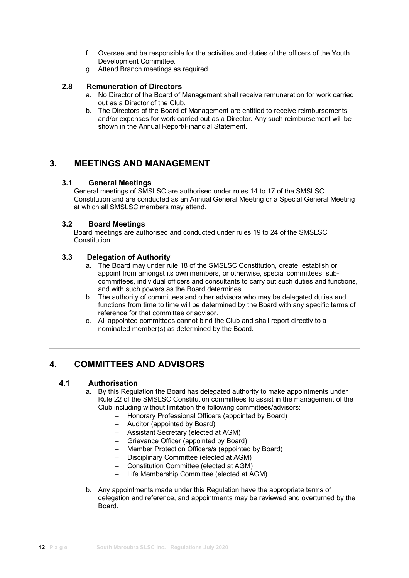- f. Oversee and be responsible for the activities and duties of the officers of the Youth Development Committee.
- g. Attend Branch meetings as required.

## **2.8 Remuneration of Directors**

- a. No Director of the Board of Management shall receive remuneration for work carried out as a Director of the Club.
- b. The Directors of the Board of Management are entitled to receive reimbursements and/or expenses for work carried out as a Director. Any such reimbursement will be shown in the Annual Report/Financial Statement.

## **3. MEETINGS AND MANAGEMENT**

## **3.1 General Meetings**

General meetings of SMSLSC are authorised under rules 14 to 17 of the SMSLSC Constitution and are conducted as an Annual General Meeting or a Special General Meeting at which all SMSLSC members may attend.

## **3.2 Board Meetings**

Board meetings are authorised and conducted under rules 19 to 24 of the SMSLSC Constitution.

## **3.3 Delegation of Authority**

- a. The Board may under rule 18 of the SMSLSC Constitution, create, establish or appoint from amongst its own members, or otherwise, special committees, subcommittees, individual officers and consultants to carry out such duties and functions, and with such powers as the Board determines.
- b. The authority of committees and other advisors who may be delegated duties and functions from time to time will be determined by the Board with any specific terms of reference for that committee or advisor.
- c. All appointed committees cannot bind the Club and shall report directly to a nominated member(s) as determined by the Board.

## **4. COMMITTEES AND ADVISORS**

## **4.1 Authorisation**

- a. By this Regulation the Board has delegated authority to make appointments under Rule 22 of the SMSLSC Constitution committees to assist in the management of the Club including without limitation the following committees/advisors:
	- Honorary Professional Officers (appointed by Board)
	- Auditor (appointed by Board)
	- Assistant Secretary (elected at AGM)
	- Grievance Officer (appointed by Board)
	- Member Protection Officers/s (appointed by Board)
	- Disciplinary Committee (elected at AGM)
	- Constitution Committee (elected at AGM)
	- Life Membership Committee (elected at AGM)
- b. Any appointments made under this Regulation have the appropriate terms of delegation and reference, and appointments may be reviewed and overturned by the Board.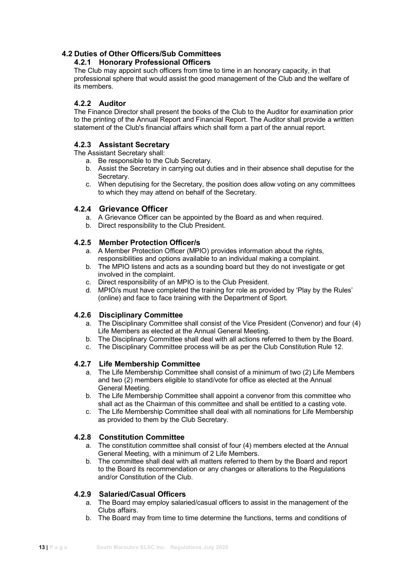## **4.2 Duties of Other Officers/Sub Committees**

## **4.2.1 Honorary Professional Officers**

The Club may appoint such officers from time to time in an honorary capacity, in that professional sphere that would assist the good management of the Club and the welfare of its members.

## **4.2.2 Auditor**

The Finance Director shall present the books of the Club to the Auditor for examination prior to the printing of the Annual Report and Financial Report. The Auditor shall provide a written statement of the Club's financial affairs which shall form a part of the annual report.

## **4.2.3 Assistant Secretary**

The Assistant Secretary shall:

- a. Be responsible to the Club Secretary.
- b. Assist the Secretary in carrying out duties and in their absence shall deputise for the Secretary.
- c. When deputising for the Secretary, the position does allow voting on any committees to which they may attend on behalf of the Secretary.

## **4.2.4 Grievance Officer**

- a. A Grievance Officer can be appointed by the Board as and when required.
- b. Direct responsibility to the Club President.

## **4.2.5 Member Protection Officer/s**

- a. A Member Protection Officer (MPIO) provides information about the rights, responsibilities and options available to an individual making a complaint.
- b. The MPIO listens and acts as a sounding board but they do not investigate or get involved in the complaint.
- c. Direct responsibility of an MPIO is to the Club President.
- d. MPIO/s must have completed the training for role as provided by 'Play by the Rules' (online) and face to face training with the Department of Sport.

## **4.2.6 Disciplinary Committee**

- a. The Disciplinary Committee shall consist of the Vice President (Convenor) and four (4) Life Members as elected at the Annual General Meeting.
- b. The Disciplinary Committee shall deal with all actions referred to them by the Board.
- c. The Disciplinary Committee process will be as per the Club Constitution Rule 12.

#### **4.2.7 Life Membership Committee**

- a. The Life Membership Committee shall consist of a minimum of two (2) Life Members and two (2) members eligible to stand/vote for office as elected at the Annual General Meeting.
- b. The Life Membership Committee shall appoint a convenor from this committee who shall act as the Chairman of this committee and shall be entitled to a casting vote.
- c. The Life Membership Committee shall deal with all nominations for Life Membership as provided to them by the Club Secretary.

## **4.2.8 Constitution Committee**

- a. The constitution committee shall consist of four (4) members elected at the Annual General Meeting, with a minimum of 2 Life Members.
- b. The committee shall deal with all matters referred to them by the Board and report to the Board its recommendation or any changes or alterations to the Regulations and/or Constitution of the Club.

#### **4.2.9 Salaried/Casual Officers**

- a. The Board may employ salaried/casual officers to assist in the management of the Clubs affairs.
- b. The Board may from time to time determine the functions, terms and conditions of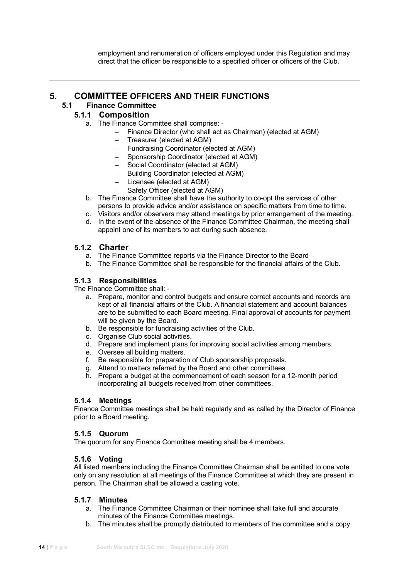employment and renumeration of officers employed under this Regulation and may direct that the officer be responsible to a specified officer or officers of the Club.

# **5. COMMITTEE OFFICERS AND THEIR FUNCTIONS**

## **5.1 Finance Committee**

## **5.1.1 Composition**

- a. The Finance Committee shall comprise:
	- Finance Director (who shall act as Chairman) (elected at AGM)
	- Treasurer (elected at AGM)
	- Fundraising Coordinator (elected at AGM)
	- Sponsorship Coordinator (elected at AGM)
	- Social Coordinator (elected at AGM)
	- Building Coordinator (elected at AGM)
	- Licensee (elected at AGM)
	- Safety Officer (elected at AGM)
- b. The Finance Committee shall have the authority to co-opt the services of other persons to provide advice and/or assistance on specific matters from time to time.
- c. Visitors and/or observers may attend meetings by prior arrangement of the meeting.
- d. In the event of the absence of the Finance Committee Chairman, the meeting shall appoint one of its members to act during such absence.

## **5.1.2 Charter**

- a. The Finance Committee reports via the Finance Director to the Board
- b. The Finance Committee shall be responsible for the financial affairs of the Club.

## **5.1.3 Responsibilities**

The Finance Committee shall: -

- a. Prepare, monitor and control budgets and ensure correct accounts and records are kept of all financial affairs of the Club. A financial statement and account balances are to be submitted to each Board meeting. Final approval of accounts for payment will be given by the Board.
- b. Be responsible for fundraising activities of the Club.
- c. Organise Club social activities.
- d. Prepare and implement plans for improving social activities among members.
- e. Oversee all building matters.
- f. Be responsible for preparation of Club sponsorship proposals.
- g. Attend to matters referred by the Board and other committees
- h. Prepare a budget at the commencement of each season for a 12-month period incorporating all budgets received from other committees.

#### **5.1.4 Meetings**

Finance Committee meetings shall be held regularly and as called by the Director of Finance prior to a Board meeting.

## **5.1.5 Quorum**

The quorum for any Finance Committee meeting shall be 4 members.

#### **5.1.6 Voting**

All listed members including the Finance Committee Chairman shall be entitled to one vote only on any resolution at all meetings of the Finance Committee at which they are present in person. The Chairman shall be allowed a casting vote.

#### **5.1.7 Minutes**

- a. The Finance Committee Chairman or their nominee shall take full and accurate minutes of the Finance Committee meetings.
- b. The minutes shall be promptly distributed to members of the committee and a copy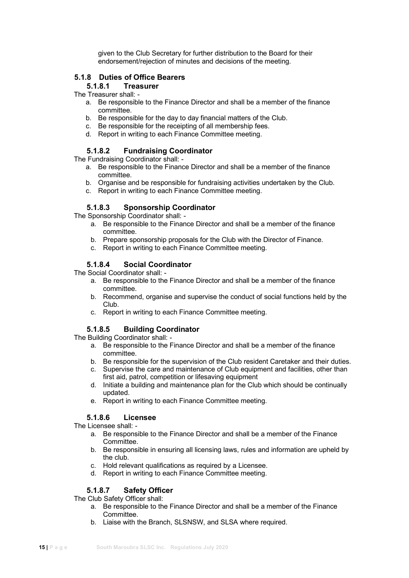given to the Club Secretary for further distribution to the Board for their endorsement/rejection of minutes and decisions of the meeting.

#### **5.1.8 Duties of Office Bearers**

## **5.1.8.1 Treasurer**

The Treasurer shall: -

- a. Be responsible to the Finance Director and shall be a member of the finance committee.
- b. Be responsible for the day to day financial matters of the Club.
- c. Be responsible for the receipting of all membership fees.
- d. Report in writing to each Finance Committee meeting.

## **5.1.8.2 Fundraising Coordinator**

The Fundraising Coordinator shall: -

- a. Be responsible to the Finance Director and shall be a member of the finance committee.
- b. Organise and be responsible for fundraising activities undertaken by the Club.
- c. Report in writing to each Finance Committee meeting.

## **5.1.8.3 Sponsorship Coordinator**

The Sponsorship Coordinator shall: -

- a. Be responsible to the Finance Director and shall be a member of the finance committee.
- b. Prepare sponsorship proposals for the Club with the Director of Finance.
- c. Report in writing to each Finance Committee meeting.

#### **5.1.8.4 Social Coordinator**

The Social Coordinator shall: -

- a. Be responsible to the Finance Director and shall be a member of the finance committee.
- b. Recommend, organise and supervise the conduct of social functions held by the Club.
- c. Report in writing to each Finance Committee meeting.

## **5.1.8.5 Building Coordinator**

The Building Coordinator shall: -

- a. Be responsible to the Finance Director and shall be a member of the finance committee.
- b. Be responsible for the supervision of the Club resident Caretaker and their duties.
- c. Supervise the care and maintenance of Club equipment and facilities, other than first aid, patrol, competition or lifesaving equipment
- d. Initiate a building and maintenance plan for the Club which should be continually updated.
- e. Report in writing to each Finance Committee meeting.

## **5.1.8.6 Licensee**

The Licensee shall: -

- a. Be responsible to the Finance Director and shall be a member of the Finance Committee.
- b. Be responsible in ensuring all licensing laws, rules and information are upheld by the club.
- c. Hold relevant qualifications as required by a Licensee.
- d. Report in writing to each Finance Committee meeting.

## **5.1.8.7 Safety Officer**

The Club Safety Officer shall:

- a. Be responsible to the Finance Director and shall be a member of the Finance Committee.
- b. Liaise with the Branch, SLSNSW, and SLSA where required.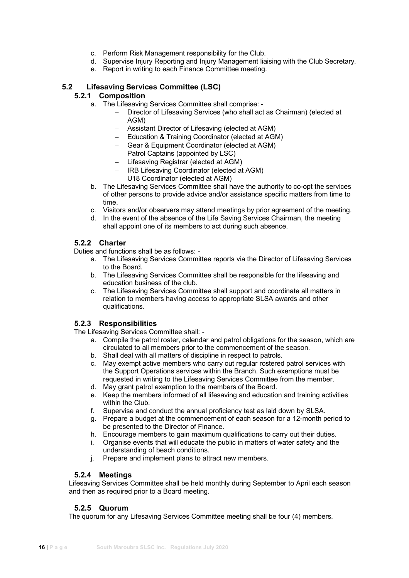- c. Perform Risk Management responsibility for the Club.
- d. Supervise Injury Reporting and Injury Management liaising with the Club Secretary.
- e. Report in writing to each Finance Committee meeting.

## **5.2 Lifesaving Services Committee (LSC)**

## **5.2.1 Composition**

- a. The Lifesaving Services Committee shall comprise:
	- Director of Lifesaving Services (who shall act as Chairman) (elected at AGM)
	- Assistant Director of Lifesaving (elected at AGM)
	- Education & Training Coordinator (elected at AGM)
	- Gear & Equipment Coordinator (elected at AGM)
	- Patrol Captains (appointed by LSC)
	- Lifesaving Registrar (elected at AGM)
	- IRB Lifesaving Coordinator (elected at AGM)
	- U18 Coordinator (elected at AGM)
- b. The Lifesaving Services Committee shall have the authority to co-opt the services of other persons to provide advice and/or assistance specific matters from time to time.
- c. Visitors and/or observers may attend meetings by prior agreement of the meeting.
- d. In the event of the absence of the Life Saving Services Chairman, the meeting shall appoint one of its members to act during such absence.

## **5.2.2 Charter**

Duties and functions shall be as follows: -

- a. The Lifesaving Services Committee reports via the Director of Lifesaving Services to the Board.
- b. The Lifesaving Services Committee shall be responsible for the lifesaving and education business of the club.
- c. The Lifesaving Services Committee shall support and coordinate all matters in relation to members having access to appropriate SLSA awards and other qualifications.

## **5.2.3 Responsibilities**

The Lifesaving Services Committee shall: -

- a. Compile the patrol roster, calendar and patrol obligations for the season, which are circulated to all members prior to the commencement of the season.
- b. Shall deal with all matters of discipline in respect to patrols.
- c. May exempt active members who carry out regular rostered patrol services with the Support Operations services within the Branch. Such exemptions must be requested in writing to the Lifesaving Services Committee from the member.
- d. May grant patrol exemption to the members of the Board.
- e. Keep the members informed of all lifesaving and education and training activities within the Club.
- f. Supervise and conduct the annual proficiency test as laid down by SLSA.
- g. Prepare a budget at the commencement of each season for a 12-month period to be presented to the Director of Finance.
- h. Encourage members to gain maximum qualifications to carry out their duties.
- i. Organise events that will educate the public in matters of water safety and the understanding of beach conditions.
- j. Prepare and implement plans to attract new members.

## **5.2.4 Meetings**

Lifesaving Services Committee shall be held monthly during September to April each season and then as required prior to a Board meeting.

#### **5.2.5 Quorum**

The quorum for any Lifesaving Services Committee meeting shall be four (4) members.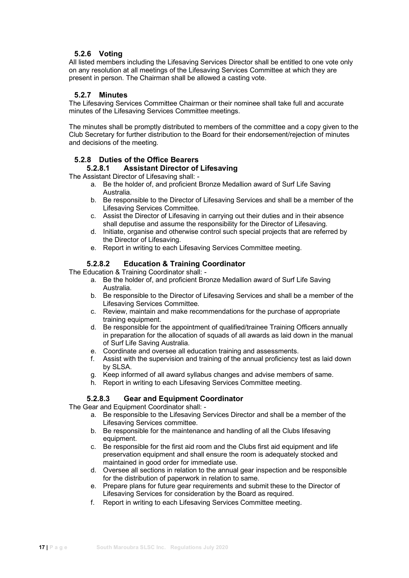## **5.2.6 Voting**

All listed members including the Lifesaving Services Director shall be entitled to one vote only on any resolution at all meetings of the Lifesaving Services Committee at which they are present in person. The Chairman shall be allowed a casting vote.

#### **5.2.7 Minutes**

The Lifesaving Services Committee Chairman or their nominee shall take full and accurate minutes of the Lifesaving Services Committee meetings.

The minutes shall be promptly distributed to members of the committee and a copy given to the Club Secretary for further distribution to the Board for their endorsement/rejection of minutes and decisions of the meeting.

## **5.2.8 Duties of the Office Bearers**

#### **5.2.8.1 Assistant Director of Lifesaving**

The Assistant Director of Lifesaving shall: -

- a. Be the holder of, and proficient Bronze Medallion award of Surf Life Saving Australia.
- b. Be responsible to the Director of Lifesaving Services and shall be a member of the Lifesaving Services Committee.
- c. Assist the Director of Lifesaving in carrying out their duties and in their absence shall deputise and assume the responsibility for the Director of Lifesaving.
- d. Initiate, organise and otherwise control such special projects that are referred by the Director of Lifesaving.
- e. Report in writing to each Lifesaving Services Committee meeting.

## **5.2.8.2 Education & Training Coordinator**

The Education & Training Coordinator shall: -

- a. Be the holder of, and proficient Bronze Medallion award of Surf Life Saving Australia.
- b. Be responsible to the Director of Lifesaving Services and shall be a member of the Lifesaving Services Committee.
- c. Review, maintain and make recommendations for the purchase of appropriate training equipment.
- d. Be responsible for the appointment of qualified/trainee Training Officers annually in preparation for the allocation of squads of all awards as laid down in the manual of Surf Life Saving Australia.
- e. Coordinate and oversee all education training and assessments.
- f. Assist with the supervision and training of the annual proficiency test as laid down by SLSA.
- g. Keep informed of all award syllabus changes and advise members of same.
- h. Report in writing to each Lifesaving Services Committee meeting.

#### **5.2.8.3 Gear and Equipment Coordinator**

The Gear and Equipment Coordinator shall: -

- a. Be responsible to the Lifesaving Services Director and shall be a member of the Lifesaving Services committee.
- b. Be responsible for the maintenance and handling of all the Clubs lifesaving equipment.
- c. Be responsible for the first aid room and the Clubs first aid equipment and life preservation equipment and shall ensure the room is adequately stocked and maintained in good order for immediate use.
- d. Oversee all sections in relation to the annual gear inspection and be responsible for the distribution of paperwork in relation to same.
- e. Prepare plans for future gear requirements and submit these to the Director of Lifesaving Services for consideration by the Board as required.
- f. Report in writing to each Lifesaving Services Committee meeting.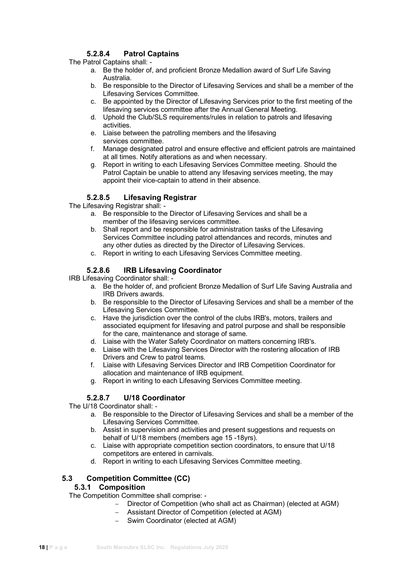## **5.2.8.4 Patrol Captains**

The Patrol Captains shall: -

- a. Be the holder of, and proficient Bronze Medallion award of Surf Life Saving Australia.
- b. Be responsible to the Director of Lifesaving Services and shall be a member of the Lifesaving Services Committee.
- c. Be appointed by the Director of Lifesaving Services prior to the first meeting of the lifesaving services committee after the Annual General Meeting.
- d. Uphold the Club/SLS requirements/rules in relation to patrols and lifesaving activities.
- e. Liaise between the patrolling members and the lifesaving services committee.
- f. Manage designated patrol and ensure effective and efficient patrols are maintained at all times. Notify alterations as and when necessary.
- g. Report in writing to each Lifesaving Services Committee meeting. Should the Patrol Captain be unable to attend any lifesaving services meeting, the may appoint their vice-captain to attend in their absence.

## **5.2.8.5 Lifesaving Registrar**

The Lifesaving Registrar shall: -

- a. Be responsible to the Director of Lifesaving Services and shall be a member of the lifesaving services committee.
- b. Shall report and be responsible for administration tasks of the Lifesaving Services Committee including patrol attendances and records, minutes and any other duties as directed by the Director of Lifesaving Services.
- c. Report in writing to each Lifesaving Services Committee meeting.

## **5.2.8.6 IRB Lifesaving Coordinator**

IRB Lifesaving Coordinator shall: -

- a. Be the holder of, and proficient Bronze Medallion of Surf Life Saving Australia and IRB Drivers awards.
- b. Be responsible to the Director of Lifesaving Services and shall be a member of the Lifesaving Services Committee.
- c. Have the jurisdiction over the control of the clubs IRB's, motors, trailers and associated equipment for lifesaving and patrol purpose and shall be responsible for the care, maintenance and storage of same.
- d. Liaise with the Water Safety Coordinator on matters concerning IRB's.
- e. Liaise with the Lifesaving Services Director with the rostering allocation of IRB Drivers and Crew to patrol teams.
- f. Liaise with Lifesaving Services Director and IRB Competition Coordinator for allocation and maintenance of IRB equipment.
- g. Report in writing to each Lifesaving Services Committee meeting.

## **5.2.8.7 U/18 Coordinator**

The U/18 Coordinator shall: -

- a. Be responsible to the Director of Lifesaving Services and shall be a member of the Lifesaving Services Committee.
- b. Assist in supervision and activities and present suggestions and requests on behalf of U/18 members (members age 15 -18yrs).
- c. Liaise with appropriate competition section coordinators, to ensure that U/18 competitors are entered in carnivals.
- d. Report in writing to each Lifesaving Services Committee meeting.

## **5.3 Competition Committee (CC)**

## **5.3.1 Composition**

The Competition Committee shall comprise: -

- Director of Competition (who shall act as Chairman) (elected at AGM)
- Assistant Director of Competition (elected at AGM)
- Swim Coordinator (elected at AGM)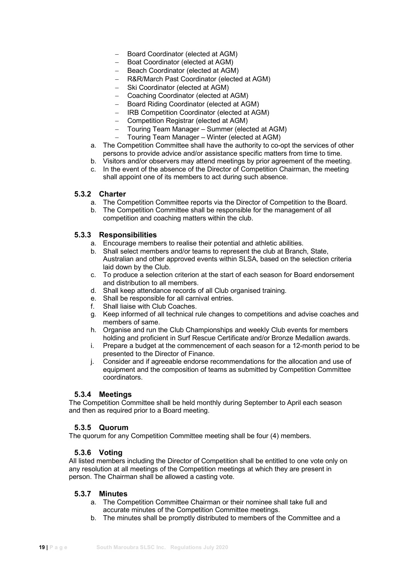- Board Coordinator (elected at AGM)
- Boat Coordinator (elected at AGM)
- Beach Coordinator (elected at AGM)
- R&R/March Past Coordinator (elected at AGM)
- Ski Coordinator (elected at AGM)
- Coaching Coordinator (elected at AGM)
- Board Riding Coordinator (elected at AGM)
- IRB Competition Coordinator (elected at AGM)
- Competition Registrar (elected at AGM)
- Touring Team Manager Summer (elected at AGM)
- Touring Team Manager Winter (elected at AGM)
- a. The Competition Committee shall have the authority to co-opt the services of other persons to provide advice and/or assistance specific matters from time to time.
- b. Visitors and/or observers may attend meetings by prior agreement of the meeting.
- c. In the event of the absence of the Director of Competition Chairman, the meeting shall appoint one of its members to act during such absence.

#### **5.3.2 Charter**

- a. The Competition Committee reports via the Director of Competition to the Board.
- b. The Competition Committee shall be responsible for the management of all competition and coaching matters within the club.

## **5.3.3 Responsibilities**

- a. Encourage members to realise their potential and athletic abilities.
- b. Shall select members and/or teams to represent the club at Branch, State, Australian and other approved events within SLSA, based on the selection criteria laid down by the Club.
- c. To produce a selection criterion at the start of each season for Board endorsement and distribution to all members.
- d. Shall keep attendance records of all Club organised training.
- e. Shall be responsible for all carnival entries.
- f. Shall liaise with Club Coaches.
- g. Keep informed of all technical rule changes to competitions and advise coaches and members of same.
- h. Organise and run the Club Championships and weekly Club events for members holding and proficient in Surf Rescue Certificate and/or Bronze Medallion awards.
- i. Prepare a budget at the commencement of each season for a 12-month period to be presented to the Director of Finance.
- j. Consider and if agreeable endorse recommendations for the allocation and use of equipment and the composition of teams as submitted by Competition Committee coordinators.

## **5.3.4 Meetings**

The Competition Committee shall be held monthly during September to April each season and then as required prior to a Board meeting.

#### **5.3.5 Quorum**

The quorum for any Competition Committee meeting shall be four (4) members.

#### **5.3.6 Voting**

All listed members including the Director of Competition shall be entitled to one vote only on any resolution at all meetings of the Competition meetings at which they are present in person. The Chairman shall be allowed a casting vote.

#### **5.3.7 Minutes**

- a. The Competition Committee Chairman or their nominee shall take full and accurate minutes of the Competition Committee meetings.
- b. The minutes shall be promptly distributed to members of the Committee and a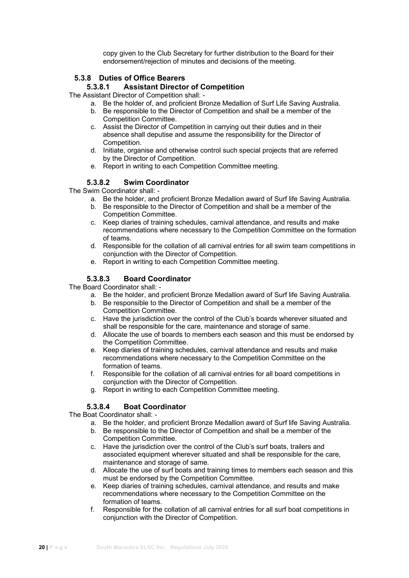copy given to the Club Secretary for further distribution to the Board for their endorsement/rejection of minutes and decisions of the meeting.

#### **5.3.8 Duties of Office Bearers**

#### **5.3.8.1 Assistant Director of Competition**

The Assistant Director of Competition shall: -

- a. Be the holder of, and proficient Bronze Medallion of Surf Life Saving Australia.
- b. Be responsible to the Director of Competition and shall be a member of the Competition Committee.
- c. Assist the Director of Competition in carrying out their duties and in their absence shall deputise and assume the responsibility for the Director of Competition.
- d. Initiate, organise and otherwise control such special projects that are referred by the Director of Competition.
- e. Report in writing to each Competition Committee meeting.

#### **5.3.8.2 Swim Coordinator**

The Swim Coordinator shall: -

- a. Be the holder, and proficient Bronze Medallion award of Surf life Saving Australia.
- b. Be responsible to the Director of Competition and shall be a member of the Competition Committee.
- c. Keep diaries of training schedules, carnival attendance, and results and make recommendations where necessary to the Competition Committee on the formation of teams.
- d. Responsible for the collation of all carnival entries for all swim team competitions in conjunction with the Director of Competition.
- e. Report in writing to each Competition Committee meeting.

#### **5.3.8.3 Board Coordinator**

The Board Coordinator shall: -

- a. Be the holder, and proficient Bronze Medallion award of Surf life Saving Australia.
- b. Be responsible to the Director of Competition and shall be a member of the Competition Committee.
- c. Have the jurisdiction over the control of the Club's boards wherever situated and shall be responsible for the care, maintenance and storage of same.
- d. Allocate the use of boards to members each season and this must be endorsed by the Competition Committee.
- e. Keep diaries of training schedules, carnival attendance and results and make recommendations where necessary to the Competition Committee on the formation of teams.
- f. Responsible for the collation of all carnival entries for all board competitions in conjunction with the Director of Competition.
- g. Report in writing to each Competition Committee meeting.

#### **5.3.8.4 Boat Coordinator**

The Boat Coordinator shall: -

- a. Be the holder, and proficient Bronze Medallion award of Surf life Saving Australia.
- b. Be responsible to the Director of Competition and shall be a member of the Competition Committee.
- c. Have the jurisdiction over the control of the Club's surf boats, trailers and associated equipment wherever situated and shall be responsible for the care, maintenance and storage of same.
- d. Allocate the use of surf boats and training times to members each season and this must be endorsed by the Competition Committee.
- e. Keep diaries of training schedules, carnival attendance, and results and make recommendations where necessary to the Competition Committee on the formation of teams.
- f. Responsible for the collation of all carnival entries for all surf boat competitions in conjunction with the Director of Competition.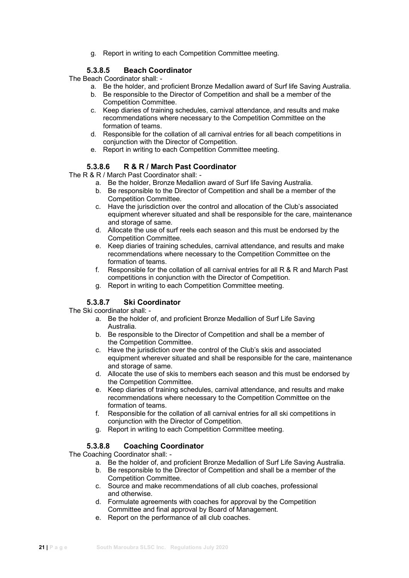g. Report in writing to each Competition Committee meeting.

## **5.3.8.5 Beach Coordinator**

The Beach Coordinator shall: -

- a. Be the holder, and proficient Bronze Medallion award of Surf life Saving Australia.
- b. Be responsible to the Director of Competition and shall be a member of the Competition Committee.
- c. Keep diaries of training schedules, carnival attendance, and results and make recommendations where necessary to the Competition Committee on the formation of teams.
- d. Responsible for the collation of all carnival entries for all beach competitions in conjunction with the Director of Competition.
- e. Report in writing to each Competition Committee meeting.

## **5.3.8.6 R & R / March Past Coordinator**

The R & R / March Past Coordinator shall: -

- a. Be the holder, Bronze Medallion award of Surf life Saving Australia.
- b. Be responsible to the Director of Competition and shall be a member of the Competition Committee.
- c. Have the jurisdiction over the control and allocation of the Club's associated equipment wherever situated and shall be responsible for the care, maintenance and storage of same.
- d. Allocate the use of surf reels each season and this must be endorsed by the Competition Committee.
- e. Keep diaries of training schedules, carnival attendance, and results and make recommendations where necessary to the Competition Committee on the formation of teams.
- f. Responsible for the collation of all carnival entries for all R & R and March Past competitions in conjunction with the Director of Competition.
- g. Report in writing to each Competition Committee meeting.

## **5.3.8.7 Ski Coordinator**

The Ski coordinator shall: -

- a. Be the holder of, and proficient Bronze Medallion of Surf Life Saving Australia.
- b. Be responsible to the Director of Competition and shall be a member of the Competition Committee.
- c. Have the jurisdiction over the control of the Club's skis and associated equipment wherever situated and shall be responsible for the care, maintenance and storage of same.
- d. Allocate the use of skis to members each season and this must be endorsed by the Competition Committee.
- e. Keep diaries of training schedules, carnival attendance, and results and make recommendations where necessary to the Competition Committee on the formation of teams.
- f. Responsible for the collation of all carnival entries for all ski competitions in conjunction with the Director of Competition.
- g. Report in writing to each Competition Committee meeting.

#### **5.3.8.8 Coaching Coordinator**

The Coaching Coordinator shall: -

- a. Be the holder of, and proficient Bronze Medallion of Surf Life Saving Australia.
- b. Be responsible to the Director of Competition and shall be a member of the Competition Committee.
- c. Source and make recommendations of all club coaches, professional and otherwise.
- d. Formulate agreements with coaches for approval by the Competition Committee and final approval by Board of Management.
- e. Report on the performance of all club coaches.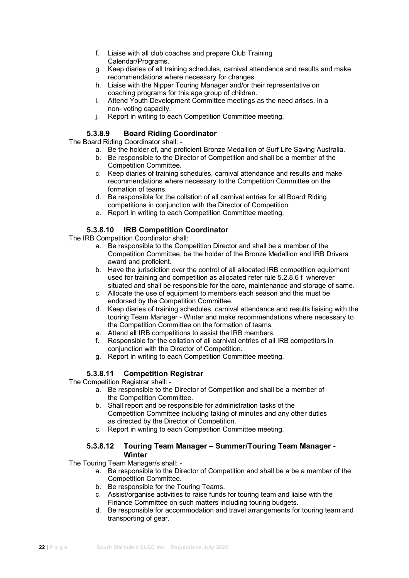- f. Liaise with all club coaches and prepare Club Training Calendar/Programs.
- g. Keep diaries of all training schedules, carnival attendance and results and make recommendations where necessary for changes.
- h. Liaise with the Nipper Touring Manager and/or their representative on coaching programs for this age group of children.
- i. Attend Youth Development Committee meetings as the need arises, in a non- voting capacity.
- j. Report in writing to each Competition Committee meeting.

## **5.3.8.9 Board Riding Coordinator**

The Board Riding Coordinator shall: -

- a. Be the holder of, and proficient Bronze Medallion of Surf Life Saving Australia.
- b. Be responsible to the Director of Competition and shall be a member of the Competition Committee.
- c. Keep diaries of training schedules, carnival attendance and results and make recommendations where necessary to the Competition Committee on the formation of teams.
- d. Be responsible for the collation of all carnival entries for all Board Riding competitions in conjunction with the Director of Competition.
- e. Report in writing to each Competition Committee meeting.

## **5.3.8.10 IRB Competition Coordinator**

The IRB Competition Coordinator shall:

- a. Be responsible to the Competition Director and shall be a member of the Competition Committee, be the holder of the Bronze Medallion and IRB Drivers award and proficient.
- b. Have the jurisdiction over the control of all allocated IRB competition equipment used for training and competition as allocated refer rule 5.2.8.6 f wherever situated and shall be responsible for the care, maintenance and storage of same.
- c. Allocate the use of equipment to members each season and this must be endorsed by the Competition Committee.
- d. Keep diaries of training schedules, carnival attendance and results liaising with the touring Team Manager - Winter and make recommendations where necessary to the Competition Committee on the formation of teams.
- e. Attend all IRB competitions to assist the IRB members.
- f. Responsible for the collation of all carnival entries of all IRB competitors in conjunction with the Director of Competition.
- g. Report in writing to each Competition Committee meeting.

#### **5.3.8.11 Competition Registrar**

The Competition Registrar shall: -

- a. Be responsible to the Director of Competition and shall be a member of the Competition Committee.
- b. Shall report and be responsible for administration tasks of the Competition Committee including taking of minutes and any other duties as directed by the Director of Competition.
- c. Report in writing to each Competition Committee meeting.

#### **5.3.8.12 Touring Team Manager – Summer/Touring Team Manager - Winter**

The Touring Team Manager/s shall: -

- a. Be responsible to the Director of Competition and shall be a be a member of the Competition Committee.
- b. Be responsible for the Touring Teams.
- c. Assist/organise activities to raise funds for touring team and liaise with the Finance Committee on such matters including touring budgets.
- d. Be responsible for accommodation and travel arrangements for touring team and transporting of gear.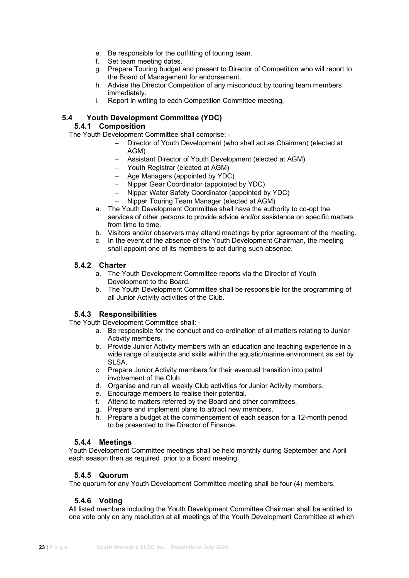- e. Be responsible for the outfitting of touring team.
- f. Set team meeting dates.
- g. Prepare Touring budget and present to Director of Competition who will report to the Board of Management for endorsement.
- h. Advise the Director Competition of any misconduct by touring team members immediately.
- i. Report in writing to each Competition Committee meeting.

## **5.4 Youth Development Committee (YDC)**

## **5.4.1 Composition**

The Youth Development Committee shall comprise: -

- Director of Youth Development (who shall act as Chairman) (elected at AGM)
- Assistant Director of Youth Development (elected at AGM)
- Youth Registrar (elected at AGM)
- Age Managers (appointed by YDC)
- Nipper Gear Coordinator (appointed by YDC)
- Nipper Water Safety Coordinator (appointed by YDC)
- Nipper Touring Team Manager (elected at AGM)
- a. The Youth Development Committee shall have the authority to co-opt the services of other persons to provide advice and/or assistance on specific matters from time to time.
- b. Visitors and/or observers may attend meetings by prior agreement of the meeting.
- c. In the event of the absence of the Youth Development Chairman, the meeting shall appoint one of its members to act during such absence.

#### **5.4.2 Charter**

- a. The Youth Development Committee reports via the Director of Youth Development to the Board.
- b. The Youth Development Committee shall be responsible for the programming of all Junior Activity activities of the Club.

#### **5.4.3 Responsibilities**

The Youth Development Committee shall: -

- a. Be responsible for the conduct and co-ordination of all matters relating to Junior Activity members.
- b. Provide Junior Activity members with an education and teaching experience in a wide range of subjects and skills within the aquatic/marine environment as set by SLSA.
- c. Prepare Junior Activity members for their eventual transition into patrol involvement of the Club.
- d. Organise and run all weekly Club activities for Junior Activity members.
- e. Encourage members to realise their potential.
- f. Attend to matters referred by the Board and other committees.
- g. Prepare and implement plans to attract new members.
- h. Prepare a budget at the commencement of each season for a 12-month period to be presented to the Director of Finance.

#### **5.4.4 Meetings**

Youth Development Committee meetings shall be held monthly during September and April each season then as required prior to a Board meeting.

#### **5.4.5 Quorum**

The quorum for any Youth Development Committee meeting shall be four (4) members.

#### **5.4.6 Voting**

All listed members including the Youth Development Committee Chairman shall be entitled to one vote only on any resolution at all meetings of the Youth Development Committee at which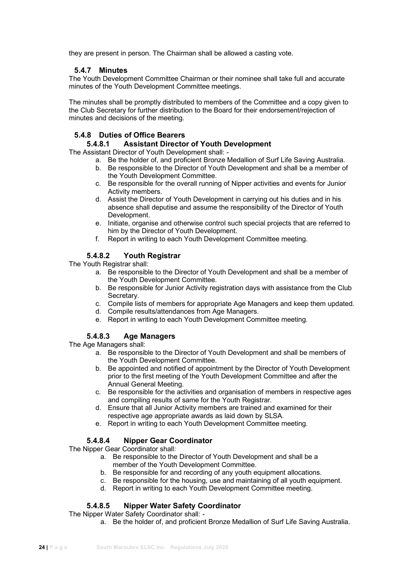they are present in person. The Chairman shall be allowed a casting vote.

#### **5.4.7 Minutes**

The Youth Development Committee Chairman or their nominee shall take full and accurate minutes of the Youth Development Committee meetings.

The minutes shall be promptly distributed to members of the Committee and a copy given to the Club Secretary for further distribution to the Board for their endorsement/rejection of minutes and decisions of the meeting.

## **5.4.8 Duties of Office Bearers**

#### **5.4.8.1 Assistant Director of Youth Development**

The Assistant Director of Youth Development shall: -

- a. Be the holder of, and proficient Bronze Medallion of Surf Life Saving Australia.
- b. Be responsible to the Director of Youth Development and shall be a member of the Youth Development Committee.
- c. Be responsible for the overall running of Nipper activities and events for Junior Activity members.
- d. Assist the Director of Youth Development in carrying out his duties and in his absence shall deputise and assume the responsibility of the Director of Youth Development.
- e. Initiate, organise and otherwise control such special projects that are referred to him by the Director of Youth Development.
- f. Report in writing to each Youth Development Committee meeting.

## **5.4.8.2 Youth Registrar**

The Youth Registrar shall:

- a. Be responsible to the Director of Youth Development and shall be a member of the Youth Development Committee.
- b. Be responsible for Junior Activity registration days with assistance from the Club Secretary.
- c. Compile lists of members for appropriate Age Managers and keep them updated.
- d. Compile results/attendances from Age Managers.
- e. Report in writing to each Youth Development Committee meeting.

## **5.4.8.3 Age Managers**

The Age Managers shall:

- a. Be responsible to the Director of Youth Development and shall be members of the Youth Development Committee.
- b. Be appointed and notified of appointment by the Director of Youth Development prior to the first meeting of the Youth Development Committee and after the Annual General Meeting.
- c. Be responsible for the activities and organisation of members in respective ages and compiling results of same for the Youth Registrar.
- d. Ensure that all Junior Activity members are trained and examined for their respective age appropriate awards as laid down by SLSA.
- e. Report in writing to each Youth Development Committee meeting.

## **5.4.8.4 Nipper Gear Coordinator**

The Nipper Gear Coordinator shall:

- a. Be responsible to the Director of Youth Development and shall be a member of the Youth Development Committee.
- b. Be responsible for and recording of any youth equipment allocations.
- c. Be responsible for the housing, use and maintaining of all youth equipment.
- d. Report in writing to each Youth Development Committee meeting.

#### **5.4.8.5 Nipper Water Safety Coordinator**

The Nipper Water Safety Coordinator shall: -

a. Be the holder of, and proficient Bronze Medallion of Surf Life Saving Australia.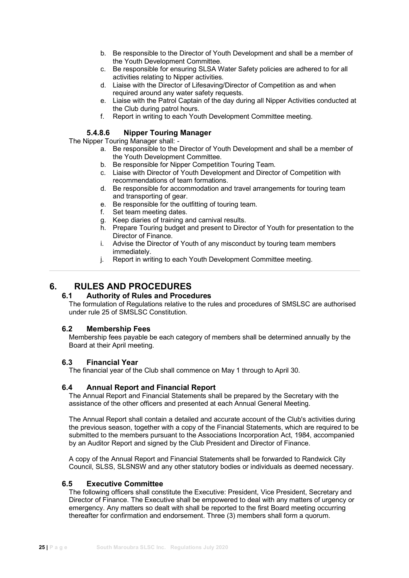- b. Be responsible to the Director of Youth Development and shall be a member of the Youth Development Committee.
- c. Be responsible for ensuring SLSA Water Safety policies are adhered to for all activities relating to Nipper activities.
- d. Liaise with the Director of Lifesaving/Director of Competition as and when required around any water safety requests.
- e. Liaise with the Patrol Captain of the day during all Nipper Activities conducted at the Club during patrol hours.
- f. Report in writing to each Youth Development Committee meeting.

## **5.4.8.6 Nipper Touring Manager**

#### The Nipper Touring Manager shall: -

- a. Be responsible to the Director of Youth Development and shall be a member of the Youth Development Committee.
- b. Be responsible for Nipper Competition Touring Team.
- c. Liaise with Director of Youth Development and Director of Competition with recommendations of team formations.
- d. Be responsible for accommodation and travel arrangements for touring team and transporting of gear.
- e. Be responsible for the outfitting of touring team.
- f. Set team meeting dates.
- g. Keep diaries of training and carnival results.
- h. Prepare Touring budget and present to Director of Youth for presentation to the Director of Finance.
- i. Advise the Director of Youth of any misconduct by touring team members immediately.
- j. Report in writing to each Youth Development Committee meeting.

## **6. RULES AND PROCEDURES**

## **6.1 Authority of Rules and Procedures**

The formulation of Regulations relative to the rules and procedures of SMSLSC are authorised under rule 25 of SMSLSC Constitution.

## **6.2 Membership Fees**

Membership fees payable be each category of members shall be determined annually by the Board at their April meeting.

## **6.3 Financial Year**

The financial year of the Club shall commence on May 1 through to April 30.

## **6.4 Annual Report and Financial Report**

The Annual Report and Financial Statements shall be prepared by the Secretary with the assistance of the other officers and presented at each Annual General Meeting.

The Annual Report shall contain a detailed and accurate account of the Club's activities during the previous season, together with a copy of the Financial Statements, which are required to be submitted to the members pursuant to the Associations Incorporation Act, 1984, accompanied by an Auditor Report and signed by the Club President and Director of Finance.

A copy of the Annual Report and Financial Statements shall be forwarded to Randwick City Council, SLSS, SLSNSW and any other statutory bodies or individuals as deemed necessary.

#### **6.5 Executive Committee**

The following officers shall constitute the Executive: President, Vice President, Secretary and Director of Finance. The Executive shall be empowered to deal with any matters of urgency or emergency. Any matters so dealt with shall be reported to the first Board meeting occurring thereafter for confirmation and endorsement. Three (3) members shall form a quorum.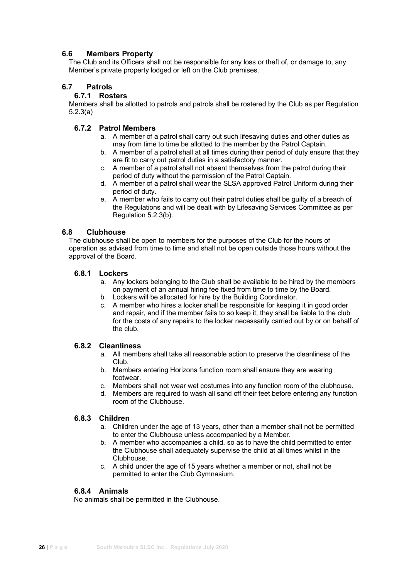## **6.6 Members Property**

The Club and its Officers shall not be responsible for any loss or theft of, or damage to, any Member's private property lodged or left on the Club premises.

## **6.7 Patrols**

#### **6.7.1 Rosters**

Members shall be allotted to patrols and patrols shall be rostered by the Club as per Regulation 5.2.3(a)

## **6.7.2 Patrol Members**

- a. A member of a patrol shall carry out such lifesaving duties and other duties as may from time to time be allotted to the member by the Patrol Captain.
- b. A member of a patrol shall at all times during their period of duty ensure that they are fit to carry out patrol duties in a satisfactory manner.
- c. A member of a patrol shall not absent themselves from the patrol during their period of duty without the permission of the Patrol Captain.
- d. A member of a patrol shall wear the SLSA approved Patrol Uniform during their period of duty.
- e. A member who fails to carry out their patrol duties shall be guilty of a breach of the Regulations and will be dealt with by Lifesaving Services Committee as per Regulation 5.2.3(b).

#### **6.8 Clubhouse**

The clubhouse shall be open to members for the purposes of the Club for the hours of operation as advised from time to time and shall not be open outside those hours without the approval of the Board.

## **6.8.1 Lockers**

- a. Any lockers belonging to the Club shall be available to be hired by the members on payment of an annual hiring fee fixed from time to time by the Board.
- b. Lockers will be allocated for hire by the Building Coordinator.
- c. A member who hires a locker shall be responsible for keeping it in good order and repair, and if the member fails to so keep it, they shall be liable to the club for the costs of any repairs to the locker necessarily carried out by or on behalf of the club.

## **6.8.2 Cleanliness**

- a. All members shall take all reasonable action to preserve the cleanliness of the Club.
- b. Members entering Horizons function room shall ensure they are wearing footwear.
- c. Members shall not wear wet costumes into any function room of the clubhouse.
- d. Members are required to wash all sand off their feet before entering any function room of the Clubhouse.

#### **6.8.3 Children**

- a. Children under the age of 13 years, other than a member shall not be permitted to enter the Clubhouse unless accompanied by a Member.
- b. A member who accompanies a child, so as to have the child permitted to enter the Clubhouse shall adequately supervise the child at all times whilst in the Clubhouse.
- c. A child under the age of 15 years whether a member or not, shall not be permitted to enter the Club Gymnasium.

## **6.8.4 Animals**

No animals shall be permitted in the Clubhouse.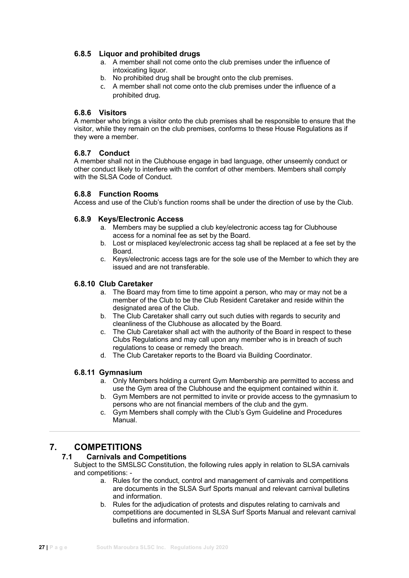## **6.8.5 Liquor and prohibited drugs**

- a. A member shall not come onto the club premises under the influence of intoxicating liquor.
- b. No prohibited drug shall be brought onto the club premises.
- c. A member shall not come onto the club premises under the influence of a prohibited drug.

#### **6.8.6 Visitors**

A member who brings a visitor onto the club premises shall be responsible to ensure that the visitor, while they remain on the club premises, conforms to these House Regulations as if they were a member.

## **6.8.7 Conduct**

A member shall not in the Clubhouse engage in bad language, other unseemly conduct or other conduct likely to interfere with the comfort of other members. Members shall comply with the SLSA Code of Conduct.

#### **6.8.8 Function Rooms**

Access and use of the Club's function rooms shall be under the direction of use by the Club.

#### **6.8.9 Keys/Electronic Access**

- a. Members may be supplied a club key/electronic access tag for Clubhouse access for a nominal fee as set by the Board.
- b. Lost or misplaced key/electronic access tag shall be replaced at a fee set by the Board.
- c. Keys/electronic access tags are for the sole use of the Member to which they are issued and are not transferable.

## **6.8.10 Club Caretaker**

- a. The Board may from time to time appoint a person, who may or may not be a member of the Club to be the Club Resident Caretaker and reside within the designated area of the Club.
- b. The Club Caretaker shall carry out such duties with regards to security and cleanliness of the Clubhouse as allocated by the Board.
- c. The Club Caretaker shall act with the authority of the Board in respect to these Clubs Regulations and may call upon any member who is in breach of such regulations to cease or remedy the breach.
- d. The Club Caretaker reports to the Board via Building Coordinator.

#### **6.8.11 Gymnasium**

- a. Only Members holding a current Gym Membership are permitted to access and use the Gym area of the Clubhouse and the equipment contained within it.
- b. Gym Members are not permitted to invite or provide access to the gymnasium to persons who are not financial members of the club and the gym.
- c. Gym Members shall comply with the Club's Gym Guideline and Procedures Manual.

## **7. COMPETITIONS**

#### **7.1 Carnivals and Competitions**

Subject to the SMSLSC Constitution, the following rules apply in relation to SLSA carnivals and competitions: -

- a. Rules for the conduct, control and management of carnivals and competitions are documents in the SLSA Surf Sports manual and relevant carnival bulletins and information.
- b. Rules for the adjudication of protests and disputes relating to carnivals and competitions are documented in SLSA Surf Sports Manual and relevant carnival bulletins and information.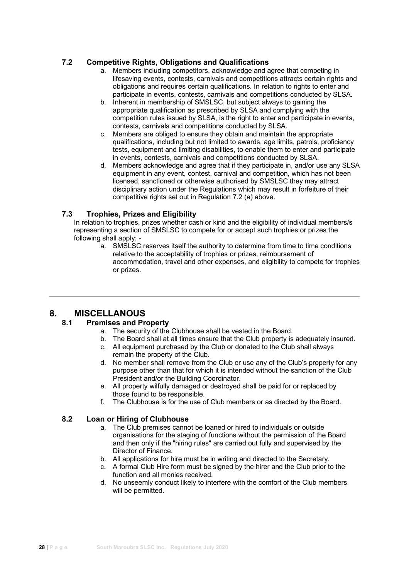## **7.2 Competitive Rights, Obligations and Qualifications**

- a. Members including competitors, acknowledge and agree that competing in lifesaving events, contests, carnivals and competitions attracts certain rights and obligations and requires certain qualifications. In relation to rights to enter and participate in events, contests, carnivals and competitions conducted by SLSA.
- b. Inherent in membership of SMSLSC, but subject always to gaining the appropriate qualification as prescribed by SLSA and complying with the competition rules issued by SLSA, is the right to enter and participate in events, contests, carnivals and competitions conducted by SLSA.
- c. Members are obliged to ensure they obtain and maintain the appropriate qualifications, including but not limited to awards, age limits, patrols, proficiency tests, equipment and limiting disabilities, to enable them to enter and participate in events, contests, carnivals and competitions conducted by SLSA.
- d. Members acknowledge and agree that if they participate in, and/or use any SLSA equipment in any event, contest, carnival and competition, which has not been licensed, sanctioned or otherwise authorised by SMSLSC they may attract disciplinary action under the Regulations which may result in forfeiture of their competitive rights set out in Regulation 7.2 (a) above.

## **7.3 Trophies, Prizes and Eligibility**

In relation to trophies, prizes whether cash or kind and the eligibility of individual members/s representing a section of SMSLSC to compete for or accept such trophies or prizes the following shall apply: -

a. SMSLSC reserves itself the authority to determine from time to time conditions relative to the acceptability of trophies or prizes, reimbursement of accommodation, travel and other expenses, and eligibility to compete for trophies or prizes.

# **8. MISCELLANOUS**

## **8.1 Premises and Property**

- a. The security of the Clubhouse shall be vested in the Board.
- b. The Board shall at all times ensure that the Club property is adequately insured.
- c. All equipment purchased by the Club or donated to the Club shall always remain the property of the Club.
- d. No member shall remove from the Club or use any of the Club's property for any purpose other than that for which it is intended without the sanction of the Club President and/or the Building Coordinator.
- e. All property wilfully damaged or destroyed shall be paid for or replaced by those found to be responsible.
- f. The Clubhouse is for the use of Club members or as directed by the Board.

## **8.2 Loan or Hiring of Clubhouse**

- a. The Club premises cannot be loaned or hired to individuals or outside organisations for the staging of functions without the permission of the Board and then only if the "hiring rules" are carried out fully and supervised by the Director of Finance.
- b. All applications for hire must be in writing and directed to the Secretary.
- c. A formal Club Hire form must be signed by the hirer and the Club prior to the function and all monies received.
- d. No unseemly conduct likely to interfere with the comfort of the Club members will be permitted.